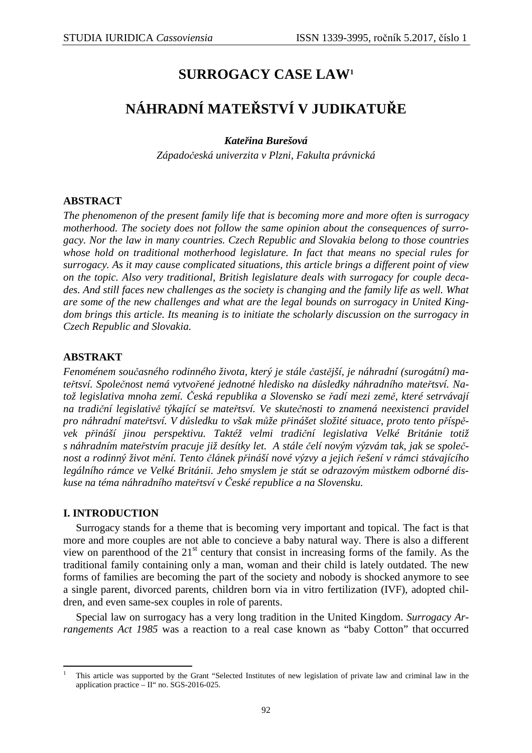# **SURROGACY CASE LAW<sup>1</sup>**

# **NÁHRADNÍ MATEŘSTVÍ V JUDIKATUŘE**

## *Kateřina Burešová*

*Západočeská univerzita v Plzni, Fakulta právnická* 

## **ABSTRACT**

*The phenomenon of the present family life that is becoming more and more often is surrogacy motherhood. The society does not follow the same opinion about the consequences of surrogacy. Nor the law in many countries. Czech Republic and Slovakia belong to those countries whose hold on traditional motherhood legislature. In fact that means no special rules for surrogacy. As it may cause complicated situations, this article brings a different point of view on the topic. Also very traditional, British legislature deals with surrogacy for couple decades. And still faces new challenges as the society is changing and the family life as well. What are some of the new challenges and what are the legal bounds on surrogacy in United Kingdom brings this article. Its meaning is to initiate the scholarly discussion on the surrogacy in Czech Republic and Slovakia.* 

## **ABSTRAKT**

*Fenoménem současného rodinného života, který je stále častější, je náhradní (surogátní) mateřtsví. Společnost nemá vytvořené jednotné hledisko na důsledky náhradního mateřtsví. Natož legislativa mnoha zemí. Česká republika a Slovensko se řadí mezi země, které setrvávají na tradiční legislativě týkající se mateřtsví. Ve skutečnosti to znamená neexistenci pravidel pro náhradní mateřtsví. V důsledku to však může přinášet složité situace, proto tento příspěvek přináší jinou perspektivu. Taktéž velmi tradiční legislativa Velké Británie totiž s náhradním mateřstvím pracuje již desítky let. A stále čelí novým výzvám tak, jak se společnost a rodinný život mění. Tento článek přináší nové výzvy a jejich řešení v rámci stávajícího legálního rámce ve Velké Británii. Jeho smyslem je stát se odrazovým můstkem odborné diskuse na téma náhradního mateřtsví v České republice a na Slovensku.* 

### **I. INTRODUCTION**

l

Surrogacy stands for a theme that is becoming very important and topical. The fact is that more and more couples are not able to concieve a baby natural way. There is also a different view on parenthood of the  $21<sup>st</sup>$  century that consist in increasing forms of the family. As the traditional family containing only a man, woman and their child is lately outdated. The new forms of families are becoming the part of the society and nobody is shocked anymore to see a single parent, divorced parents, children born via in vitro fertilization (IVF), adopted children, and even same-sex couples in role of parents.

Special law on surrogacy has a very long tradition in the United Kingdom. *Surrogacy Arrangements Act 1985* was a reaction to a real case known as "baby Cotton" that occurred

<sup>1</sup> This article was supported by the Grant "Selected Institutes of new legislation of private law and criminal law in the application practice – II" no. SGS-2016-025.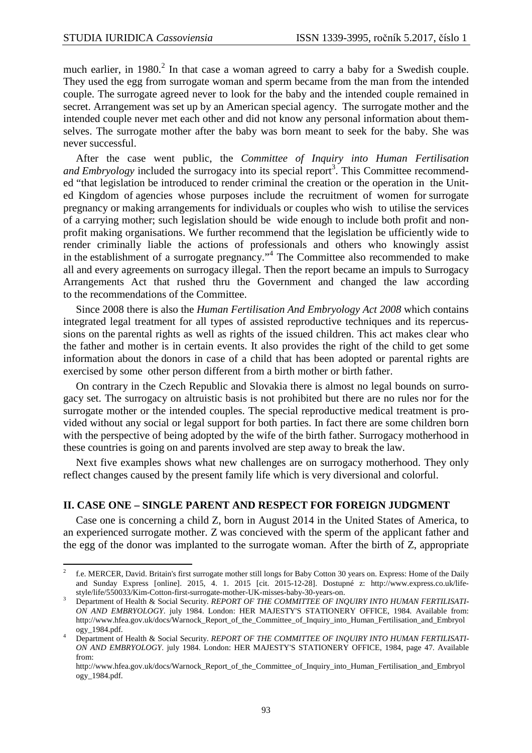$\overline{a}$ 

much earlier, in  $1980$ <sup>2</sup> In that case a woman agreed to carry a baby for a Swedish couple. They used the egg from surrogate woman and sperm became from the man from the intended couple. The surrogate agreed never to look for the baby and the intended couple remained in secret. Arrangement was set up by an American special agency. The surrogate mother and the intended couple never met each other and did not know any personal information about themselves. The surrogate mother after the baby was born meant to seek for the baby. She was never successful.

After the case went public, the *Committee of Inquiry into Human Fertilisation*  and Embryology included the surrogacy into its special report<sup>3</sup>. This Committee recommended "that legislation be introduced to render criminal the creation or the operation in the United Kingdom of agencies whose purposes include the recruitment of women for surrogate pregnancy or making arrangements for individuals or couples who wish to utilise the services of a carrying mother; such legislation should be wide enough to include both profit and nonprofit making organisations. We further recommend that the legislation be ufficiently wide to render criminally liable the actions of professionals and others who knowingly assist in the establishment of a surrogate pregnancy."<sup>4</sup> The Committee also recommended to make all and every agreements on surrogacy illegal. Then the report became an impuls to Surrogacy Arrangements Act that rushed thru the Government and changed the law according to the recommendations of the Committee.

Since 2008 there is also the *Human Fertilisation And Embryology Act 2008* which contains integrated legal treatment for all types of assisted reproductive techniques and its repercussions on the parental rights as well as rights of the issued children. This act makes clear who the father and mother is in certain events. It also provides the right of the child to get some information about the donors in case of a child that has been adopted or parental rights are exercised by some other person different from a birth mother or birth father.

On contrary in the Czech Republic and Slovakia there is almost no legal bounds on surrogacy set. The surrogacy on altruistic basis is not prohibited but there are no rules nor for the surrogate mother or the intended couples. The special reproductive medical treatment is provided without any social or legal support for both parties. In fact there are some children born with the perspective of being adopted by the wife of the birth father. Surrogacy motherhood in these countries is going on and parents involved are step away to break the law.

Next five examples shows what new challenges are on surrogacy motherhood. They only reflect changes caused by the present family life which is very diversional and colorful.

### **II. CASE ONE – SINGLE PARENT AND RESPECT FOR FOREIGN JUDGMENT**

Case one is concerning a child Z, born in August 2014 in the United States of America, to an experienced surrogate mother. Z was concieved with the sperm of the applicant father and the egg of the donor was implanted to the surrogate woman. After the birth of Z, appropriate

 $\overline{2}$  f.e. MERCER, David. Britain's first surrogate mother still longs for Baby Cotton 30 years on. Express: Home of the Daily and Sunday Express [online]. 2015, 4. 1. 2015 [cit. 2015-12-28]. Dostupné z: http://www.express.co.uk/lifestyle/life/550033/Kim-Cotton-first-surrogate-mother-UK-misses-baby-30-years-on.

<sup>3</sup> Department of Health & Social Security. *REPORT OF THE COMMITTEE OF INQUIRY INTO HUMAN FERTILISATI-ON AND EMBRYOLOGY*. july 1984. London: HER MAJESTY'S STATIONERY OFFICE, 1984. Available from: http://www.hfea.gov.uk/docs/Warnock\_Report\_of\_the\_Committee\_of\_Inquiry\_into\_Human\_Fertilisation\_and\_Embryol ogy\_1984.pdf.

<sup>4</sup> Department of Health & Social Security. *REPORT OF THE COMMITTEE OF INQUIRY INTO HUMAN FERTILISATI-ON AND EMBRYOLOGY*. july 1984. London: HER MAJESTY'S STATIONERY OFFICE, 1984, page 47. Available from:

http://www.hfea.gov.uk/docs/Warnock\_Report\_of\_the\_Committee\_of\_Inquiry\_into\_Human\_Fertilisation\_and\_Embryol ogy\_1984.pdf.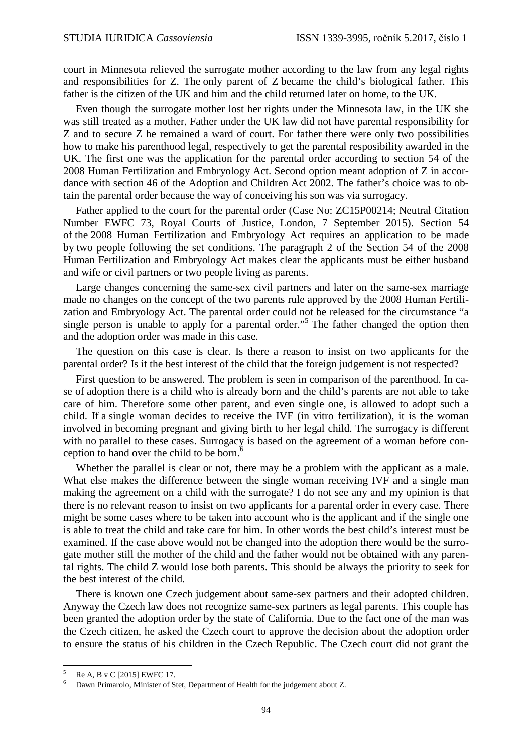court in Minnesota relieved the surrogate mother according to the law from any legal rights and responsibilities for Z. The only parent of Z became the child's biological father. This father is the citizen of the UK and him and the child returned later on home, to the UK.

Even though the surrogate mother lost her rights under the Minnesota law, in the UK she was still treated as a mother. Father under the UK law did not have parental responsibility for Z and to secure Z he remained a ward of court. For father there were only two possibilities how to make his parenthood legal, respectively to get the parental resposibility awarded in the UK. The first one was the application for the parental order according to section 54 of the 2008 Human Fertilization and Embryology Act. Second option meant adoption of Z in accordance with section 46 of the Adoption and Children Act 2002. The father's choice was to obtain the parental order because the way of conceiving his son was via surrogacy.

Father applied to the court for the parental order (Case No: ZC15P00214; Neutral Citation Number EWFC 73, Royal Courts of Justice, London, 7 September 2015). Section 54 of the 2008 Human Fertilization and Embryology Act requires an application to be made by two people following the set conditions. The paragraph 2 of the Section 54 of the 2008 Human Fertilization and Embryology Act makes clear the applicants must be either husband and wife or civil partners or two people living as parents.

Large changes concerning the same-sex civil partners and later on the same-sex marriage made no changes on the concept of the two parents rule approved by the 2008 Human Fertilization and Embryology Act. The parental order could not be released for the circumstance "a single person is unable to apply for a parental order.<sup>55</sup> The father changed the option then and the adoption order was made in this case.

The question on this case is clear. Is there a reason to insist on two applicants for the parental order? Is it the best interest of the child that the foreign judgement is not respected?

First question to be answered. The problem is seen in comparison of the parenthood. In case of adoption there is a child who is already born and the child's parents are not able to take care of him. Therefore some other parent, and even single one, is allowed to adopt such a child. If a single woman decides to receive the IVF (in vitro fertilization), it is the woman involved in becoming pregnant and giving birth to her legal child. The surrogacy is different with no parallel to these cases. Surrogacy is based on the agreement of a woman before conception to hand over the child to be born. $6$ 

Whether the parallel is clear or not, there may be a problem with the applicant as a male. What else makes the difference between the single woman receiving IVF and a single man making the agreement on a child with the surrogate? I do not see any and my opinion is that there is no relevant reason to insist on two applicants for a parental order in every case. There might be some cases where to be taken into account who is the applicant and if the single one is able to treat the child and take care for him. In other words the best child's interest must be examined. If the case above would not be changed into the adoption there would be the surrogate mother still the mother of the child and the father would not be obtained with any parental rights. The child Z would lose both parents. This should be always the priority to seek for the best interest of the child.

There is known one Czech judgement about same-sex partners and their adopted children. Anyway the Czech law does not recognize same-sex partners as legal parents. This couple has been granted the adoption order by the state of California. Due to the fact one of the man was the Czech citizen, he asked the Czech court to approve the decision about the adoption order to ensure the status of his children in the Czech Republic. The Czech court did not grant the

 $\overline{a}$ 

<sup>5</sup> Re A, B v C [2015] EWFC 17.

<sup>6</sup> Dawn Primarolo, Minister of Stet, Department of Health for the judgement about Z.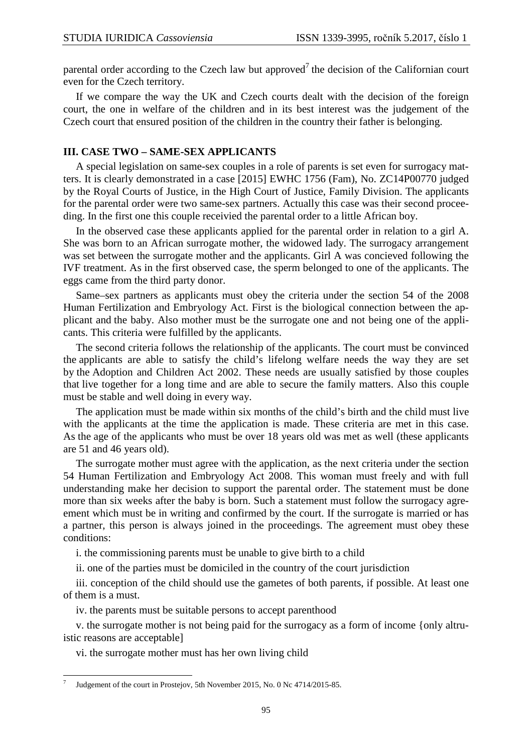parental order according to the Czech law but approved<sup>7</sup> the decision of the Californian court even for the Czech territory.

If we compare the way the UK and Czech courts dealt with the decision of the foreign court, the one in welfare of the children and in its best interest was the judgement of the Czech court that ensured position of the children in the country their father is belonging.

#### **III. CASE TWO – SAME-SEX APPLICANTS**

A special legislation on same-sex couples in a role of parents is set even for surrogacy matters. It is clearly demonstrated in a case [2015] EWHC 1756 (Fam), No. ZC14P00770 judged by the Royal Courts of Justice, in the High Court of Justice, Family Division. The applicants for the parental order were two same-sex partners. Actually this case was their second proceeding. In the first one this couple receivied the parental order to a little African boy.

In the observed case these applicants applied for the parental order in relation to a girl A. She was born to an African surrogate mother, the widowed lady. The surrogacy arrangement was set between the surrogate mother and the applicants. Girl A was concieved following the IVF treatment. As in the first observed case, the sperm belonged to one of the applicants. The eggs came from the third party donor.

Same–sex partners as applicants must obey the criteria under the section 54 of the 2008 Human Fertilization and Embryology Act. First is the biological connection between the applicant and the baby. Also mother must be the surrogate one and not being one of the applicants. This criteria were fulfilled by the applicants.

The second criteria follows the relationship of the applicants. The court must be convinced the applicants are able to satisfy the child's lifelong welfare needs the way they are set by the Adoption and Children Act 2002. These needs are usually satisfied by those couples that live together for a long time and are able to secure the family matters. Also this couple must be stable and well doing in every way.

The application must be made within six months of the child's birth and the child must live with the applicants at the time the application is made. These criteria are met in this case. As the age of the applicants who must be over 18 years old was met as well (these applicants are 51 and 46 years old).

The surrogate mother must agree with the application, as the next criteria under the section 54 Human Fertilization and Embryology Act 2008. This woman must freely and with full understanding make her decision to support the parental order. The statement must be done more than six weeks after the baby is born. Such a statement must follow the surrogacy agreement which must be in writing and confirmed by the court. If the surrogate is married or has a partner, this person is always joined in the proceedings. The agreement must obey these conditions:

i. the commissioning parents must be unable to give birth to a child

ii. one of the parties must be domiciled in the country of the court jurisdiction

iii. conception of the child should use the gametes of both parents, if possible. At least one of them is a must.

iv. the parents must be suitable persons to accept parenthood

v. the surrogate mother is not being paid for the surrogacy as a form of income {only altruistic reasons are acceptable]

vi. the surrogate mother must has her own living child

 $\overline{a}$ 

<sup>7</sup> Judgement of the court in Prostejov, 5th November 2015, No. 0 Nc 4714/2015-85.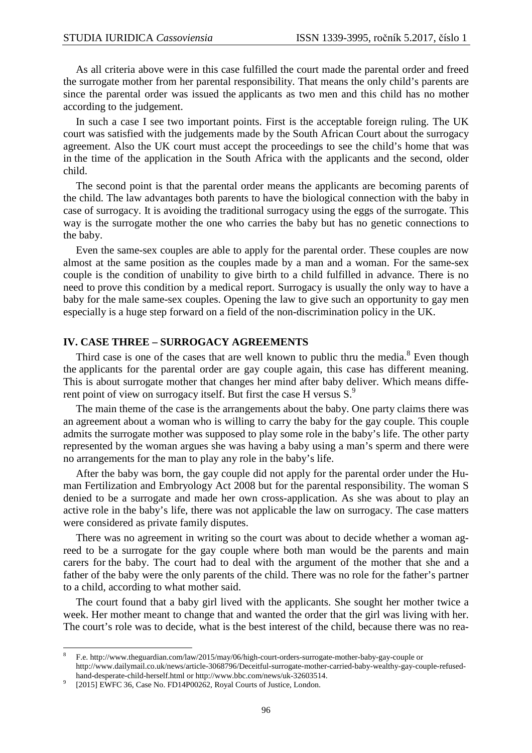As all criteria above were in this case fulfilled the court made the parental order and freed the surrogate mother from her parental responsibility. That means the only child's parents are since the parental order was issued the applicants as two men and this child has no mother according to the judgement.

In such a case I see two important points. First is the acceptable foreign ruling. The UK court was satisfied with the judgements made by the South African Court about the surrogacy agreement. Also the UK court must accept the proceedings to see the child's home that was in the time of the application in the South Africa with the applicants and the second, older child.

The second point is that the parental order means the applicants are becoming parents of the child. The law advantages both parents to have the biological connection with the baby in case of surrogacy. It is avoiding the traditional surrogacy using the eggs of the surrogate. This way is the surrogate mother the one who carries the baby but has no genetic connections to the baby.

Even the same-sex couples are able to apply for the parental order. These couples are now almost at the same position as the couples made by a man and a woman. For the same-sex couple is the condition of unability to give birth to a child fulfilled in advance. There is no need to prove this condition by a medical report. Surrogacy is usually the only way to have a baby for the male same-sex couples. Opening the law to give such an opportunity to gay men especially is a huge step forward on a field of the non-discrimination policy in the UK.

#### **IV. CASE THREE – SURROGACY AGREEMENTS**

Third case is one of the cases that are well known to public thru the media. $8$  Even though the applicants for the parental order are gay couple again, this case has different meaning. This is about surrogate mother that changes her mind after baby deliver. Which means different point of view on surrogacy itself. But first the case H versus S.<sup>9</sup>

The main theme of the case is the arrangements about the baby. One party claims there was an agreement about a woman who is willing to carry the baby for the gay couple. This couple admits the surrogate mother was supposed to play some role in the baby's life. The other party represented by the woman argues she was having a baby using a man's sperm and there were no arrangements for the man to play any role in the baby's life.

After the baby was born, the gay couple did not apply for the parental order under the Human Fertilization and Embryology Act 2008 but for the parental responsibility. The woman S denied to be a surrogate and made her own cross-application. As she was about to play an active role in the baby's life, there was not applicable the law on surrogacy. The case matters were considered as private family disputes.

There was no agreement in writing so the court was about to decide whether a woman agreed to be a surrogate for the gay couple where both man would be the parents and main carers for the baby. The court had to deal with the argument of the mother that she and a father of the baby were the only parents of the child. There was no role for the father's partner to a child, according to what mother said.

The court found that a baby girl lived with the applicants. She sought her mother twice a week. Her mother meant to change that and wanted the order that the girl was living with her. The court's role was to decide, what is the best interest of the child, because there was no rea-

l

<sup>8</sup> F.e. http://www.theguardian.com/law/2015/may/06/high-court-orders-surrogate-mother-baby-gay-couple or http://www.dailymail.co.uk/news/article-3068796/Deceitful-surrogate-mother-carried-baby-wealthy-gay-couple-refusedhand-desperate-child-herself.html or http://www.bbc.com/news/uk-32603514.

<sup>9</sup> [2015] EWFC 36, Case No. FD14P00262, Royal Courts of Justice, London.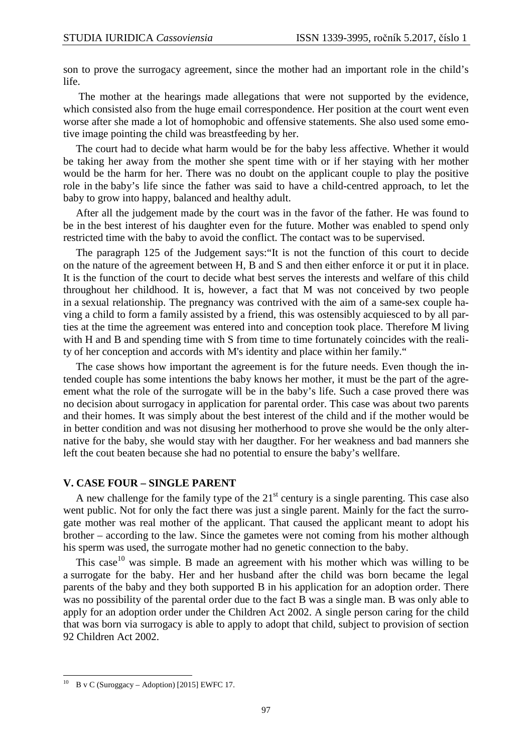son to prove the surrogacy agreement, since the mother had an important role in the child's life.

 The mother at the hearings made allegations that were not supported by the evidence, which consisted also from the huge email correspondence. Her position at the court went even worse after she made a lot of homophobic and offensive statements. She also used some emotive image pointing the child was breastfeeding by her.

The court had to decide what harm would be for the baby less affective. Whether it would be taking her away from the mother she spent time with or if her staying with her mother would be the harm for her. There was no doubt on the applicant couple to play the positive role in the baby's life since the father was said to have a child-centred approach, to let the baby to grow into happy, balanced and healthy adult.

After all the judgement made by the court was in the favor of the father. He was found to be in the best interest of his daughter even for the future. Mother was enabled to spend only restricted time with the baby to avoid the conflict. The contact was to be supervised.

The paragraph 125 of the Judgement says:"It is not the function of this court to decide on the nature of the agreement between H, B and S and then either enforce it or put it in place. It is the function of the court to decide what best serves the interests and welfare of this child throughout her childhood. It is, however, a fact that M was not conceived by two people in a sexual relationship. The pregnancy was contrived with the aim of a same-sex couple having a child to form a family assisted by a friend, this was ostensibly acquiesced to by all parties at the time the agreement was entered into and conception took place. Therefore M living with H and B and spending time with S from time to time fortunately coincides with the reality of her conception and accords with M's identity and place within her family."

The case shows how important the agreement is for the future needs. Even though the intended couple has some intentions the baby knows her mother, it must be the part of the agreement what the role of the surrogate will be in the baby's life. Such a case proved there was no decision about surrogacy in application for parental order. This case was about two parents and their homes. It was simply about the best interest of the child and if the mother would be in better condition and was not disusing her motherhood to prove she would be the only alternative for the baby, she would stay with her daugther. For her weakness and bad manners she left the cout beaten because she had no potential to ensure the baby's wellfare.

#### **V. CASE FOUR – SINGLE PARENT**

A new challenge for the family type of the  $21<sup>st</sup>$  century is a single parenting. This case also went public. Not for only the fact there was just a single parent. Mainly for the fact the surrogate mother was real mother of the applicant. That caused the applicant meant to adopt his brother – according to the law. Since the gametes were not coming from his mother although his sperm was used, the surrogate mother had no genetic connection to the baby.

This case<sup>10</sup> was simple. B made an agreement with his mother which was willing to be a surrogate for the baby. Her and her husband after the child was born became the legal parents of the baby and they both supported B in his application for an adoption order. There was no possibility of the parental order due to the fact B was a single man. B was only able to apply for an adoption order under the Children Act 2002. A single person caring for the child that was born via surrogacy is able to apply to adopt that child, subject to provision of section 92 Children Act 2002.

 $\overline{a}$ 

B v C (Suroggacy – Adoption) [2015] EWFC 17.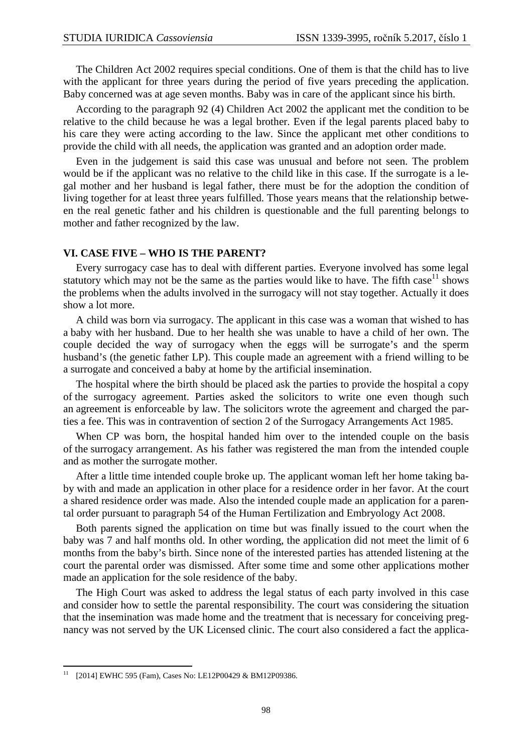The Children Act 2002 requires special conditions. One of them is that the child has to live with the applicant for three years during the period of five years preceding the application. Baby concerned was at age seven months. Baby was in care of the applicant since his birth.

According to the paragraph 92 (4) Children Act 2002 the applicant met the condition to be relative to the child because he was a legal brother. Even if the legal parents placed baby to his care they were acting according to the law. Since the applicant met other conditions to provide the child with all needs, the application was granted and an adoption order made.

Even in the judgement is said this case was unusual and before not seen. The problem would be if the applicant was no relative to the child like in this case. If the surrogate is a legal mother and her husband is legal father, there must be for the adoption the condition of living together for at least three years fulfilled. Those years means that the relationship between the real genetic father and his children is questionable and the full parenting belongs to mother and father recognized by the law.

#### **VI. CASE FIVE – WHO IS THE PARENT?**

Every surrogacy case has to deal with different parties. Everyone involved has some legal statutory which may not be the same as the parties would like to have. The fifth case<sup>11</sup> shows the problems when the adults involved in the surrogacy will not stay together. Actually it does show a lot more.

A child was born via surrogacy. The applicant in this case was a woman that wished to has a baby with her husband. Due to her health she was unable to have a child of her own. The couple decided the way of surrogacy when the eggs will be surrogate's and the sperm husband's (the genetic father LP). This couple made an agreement with a friend willing to be a surrogate and conceived a baby at home by the artificial insemination.

The hospital where the birth should be placed ask the parties to provide the hospital a copy of the surrogacy agreement. Parties asked the solicitors to write one even though such an agreement is enforceable by law. The solicitors wrote the agreement and charged the parties a fee. This was in contravention of section 2 of the Surrogacy Arrangements Act 1985.

When CP was born, the hospital handed him over to the intended couple on the basis of the surrogacy arrangement. As his father was registered the man from the intended couple and as mother the surrogate mother.

After a little time intended couple broke up. The applicant woman left her home taking baby with and made an application in other place for a residence order in her favor. At the court a shared residence order was made. Also the intended couple made an application for a parental order pursuant to paragraph 54 of the Human Fertilization and Embryology Act 2008.

Both parents signed the application on time but was finally issued to the court when the baby was 7 and half months old. In other wording, the application did not meet the limit of 6 months from the baby's birth. Since none of the interested parties has attended listening at the court the parental order was dismissed. After some time and some other applications mother made an application for the sole residence of the baby.

The High Court was asked to address the legal status of each party involved in this case and consider how to settle the parental responsibility. The court was considering the situation that the insemination was made home and the treatment that is necessary for conceiving pregnancy was not served by the UK Licensed clinic. The court also considered a fact the applica-

l

<sup>11</sup> [2014] EWHC 595 (Fam), Cases No: LE12P00429 & BM12P09386.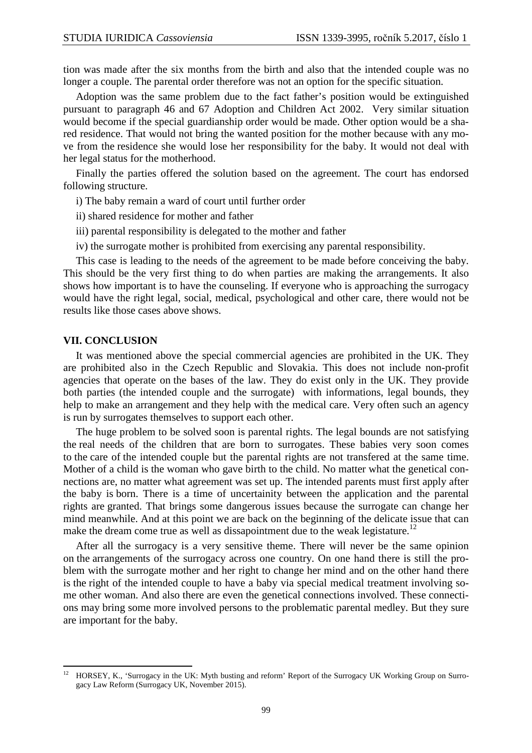tion was made after the six months from the birth and also that the intended couple was no longer a couple. The parental order therefore was not an option for the specific situation.

Adoption was the same problem due to the fact father's position would be extinguished pursuant to paragraph 46 and 67 Adoption and Children Act 2002. Very similar situation would become if the special guardianship order would be made. Other option would be a shared residence. That would not bring the wanted position for the mother because with any move from the residence she would lose her responsibility for the baby. It would not deal with her legal status for the motherhood.

Finally the parties offered the solution based on the agreement. The court has endorsed following structure.

- i) The baby remain a ward of court until further order
- ii) shared residence for mother and father
- iii) parental responsibility is delegated to the mother and father
- iv) the surrogate mother is prohibited from exercising any parental responsibility.

This case is leading to the needs of the agreement to be made before conceiving the baby. This should be the very first thing to do when parties are making the arrangements. It also shows how important is to have the counseling. If everyone who is approaching the surrogacy would have the right legal, social, medical, psychological and other care, there would not be results like those cases above shows.

#### **VII. CONCLUSION**

l

It was mentioned above the special commercial agencies are prohibited in the UK. They are prohibited also in the Czech Republic and Slovakia. This does not include non-profit agencies that operate on the bases of the law. They do exist only in the UK. They provide both parties (the intended couple and the surrogate) with informations, legal bounds, they help to make an arrangement and they help with the medical care. Very often such an agency is run by surrogates themselves to support each other.

The huge problem to be solved soon is parental rights. The legal bounds are not satisfying the real needs of the children that are born to surrogates. These babies very soon comes to the care of the intended couple but the parental rights are not transfered at the same time. Mother of a child is the woman who gave birth to the child. No matter what the genetical connections are, no matter what agreement was set up. The intended parents must first apply after the baby is born. There is a time of uncertainity between the application and the parental rights are granted. That brings some dangerous issues because the surrogate can change her mind meanwhile. And at this point we are back on the beginning of the delicate issue that can make the dream come true as well as dissapointment due to the weak legistature.<sup>12</sup>

After all the surrogacy is a very sensitive theme. There will never be the same opinion on the arrangements of the surrogacy across one country. On one hand there is still the problem with the surrogate mother and her right to change her mind and on the other hand there is the right of the intended couple to have a baby via special medical treatment involving some other woman. And also there are even the genetical connections involved. These connections may bring some more involved persons to the problematic parental medley. But they sure are important for the baby.

<sup>12</sup> HORSEY, K., 'Surrogacy in the UK: Myth busting and reform' Report of the Surrogacy UK Working Group on Surrogacy Law Reform (Surrogacy UK, November 2015).